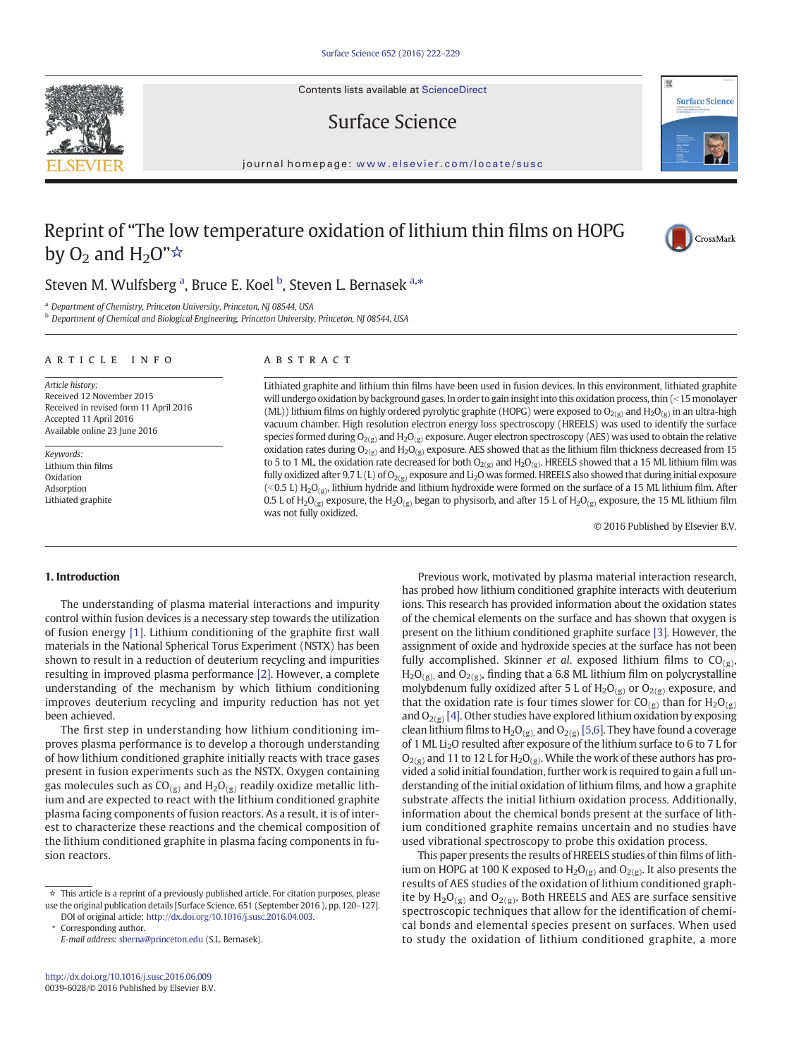Contents lists available at ScienceDirect

# Surface Science

journal homepage: www.elsevier.com/locate/susc

# Reprint of "The low temperature oxidation of lithium thin films on HOPG by  $O_2$  and  $H_2O'' \star$

Steven M. Wulfsberg <sup>a</sup>, Bruce E. Koel <sup>b</sup>, Steven L. Bernasek <sup>a,\*</sup>

<sup>a</sup> Department of Chemistry, Princeton University, Princeton, NJ 08544, USA

**b** Department of Chemical and Biological Engineering, Princeton University, Princeton, NJ 08544, USA

# article info abstract

Article history: Received 12 November 2015 Received in revised form 11 April 2016 Accepted 11 April 2016 Available online 23 June 2016

Keywords: Lithium thin films Oxidation Adsorption Lithiated graphite

Lithiated graphite and lithium thin films have been used in fusion devices. In this environment, lithiated graphite will undergo oxidation by background gases. In order to gain insight into this oxidation process, thin (<15 monolayer (ML)) lithium films on highly ordered pyrolytic graphite (HOPG) were exposed to  $O_{2(x)}$  and  $H_2O_{(x)}$  in an ultra-high vacuum chamber. High resolution electron energy loss spectroscopy (HREELS) was used to identify the surface species formed during  $O_{2(g)}$  and  $H_2O_{(g)}$  exposure. Auger electron spectroscopy (AES) was used to obtain the relative oxidation rates during  $O_{2(g)}$  and  $H_2O_{(g)}$  exposure. AES showed that as the lithium film thickness decreased from 15 to 5 to 1 ML, the oxidation rate decreased for both  $O_{2(g)}$  and  $H_2O_{(g)}$ . HREELS showed that a 15 ML lithium film was fully oxidized after 9.7 L (L) of  $O_{2(g)}$  exposure and Li<sub>2</sub>O was formed. HREELS also showed that during initial exposure (<0.5 L) H<sub>2</sub>O<sub>(g)</sub>, lithium hydride and lithium hydroxide were formed on the surface of a 15 ML lithium film. After 0.5 L of H<sub>2</sub>O<sub>(g)</sub> exposure, the H<sub>2</sub>O<sub>(g)</sub> began to physisorb, and after 15 L of H<sub>2</sub>O<sub>(g)</sub> exposure, the 15 ML lithium film was not fully oxidized.

© 2016 Published by Elsevier B.V.

# 1. Introduction

The understanding of plasma material interactions and impurity control within fusion devices is a necessary step towards the utilization of fusion energy [\[1\].](#page-6-0) Lithium conditioning of the graphite first wall materials in the National Spherical Torus Experiment (NSTX) has been shown to result in a reduction of deuterium recycling and impurities resulting in improved plasma performance [\[2\]](#page-6-0). However, a complete understanding of the mechanism by which lithium conditioning improves deuterium recycling and impurity reduction has not yet been achieved.

The first step in understanding how lithium conditioning improves plasma performance is to develop a thorough understanding of how lithium conditioned graphite initially reacts with trace gases present in fusion experiments such as the NSTX. Oxygen containing gas molecules such as  $CO_{(g)}$  and  $H_2O_{(g)}$  readily oxidize metallic lithium and are expected to react with the lithium conditioned graphite plasma facing components of fusion reactors. As a result, it is of interest to characterize these reactions and the chemical composition of the lithium conditioned graphite in plasma facing components in fusion reactors.

DOI of original article: http://dx.doi.org/[10.1016/j.susc.2016.04.003.](http://dx.doi.org/10.1016/j.susc.2016.04.003) ⁎ Corresponding author.

E-mail address: [sberna@princeton.edu](mailto:sberna@princeton.edu) (S.L. Bernasek).

ium conditioned graphite remains uncertain and no studies have used vibrational spectroscopy to probe this oxidation process. This paper presents the results of HREELS studies of thin films of lithium on HOPG at 100 K exposed to  $H_2O_{(g)}$  and  $O_{2(g)}$ . It also presents the results of AES studies of the oxidation of lithium conditioned graphite by  $H_2O_{(g)}$  and  $O_{2(g)}$ . Both HREELS and AES are surface sensitive spectroscopic techniques that allow for the identification of chemical bonds and elemental species present on surfaces. When used to study the oxidation of lithium conditioned graphite, a more

Previous work, motivated by plasma material interaction research, has probed how lithium conditioned graphite interacts with deuterium ions. This research has provided information about the oxidation states of the chemical elements on the surface and has shown that oxygen is present on the lithium conditioned graphite surface [\[3\]](#page-6-0). However, the assignment of oxide and hydroxide species at the surface has not been fully accomplished. Skinner et al. exposed lithium films to  $CO_{(g)}$ ,  $H_2O_{(g)}$ , and  $O_{2(g)}$ , finding that a 6.8 ML lithium film on polycrystalline molybdenum fully oxidized after 5 L of  $H_2O_{(g)}$  or  $O_{2(g)}$  exposure, and that the oxidation rate is four times slower for  $CO_{(g)}$  than for  $H_2O_{(g)}$ and  $O_{2(g)}$  [\[4\]](#page-6-0). Other studies have explored lithium oxidation by exposing clean lithium films to  $H_2O_{(g)}$ , and  $O_{2(g)}$  [\[5,6\].](#page-6-0) They have found a coverage of 1 ML Li<sub>2</sub>O resulted after exposure of the lithium surface to 6 to 7 L for  $O_{2(g)}$  and 11 to 12 L for  $H_2O_{(g)}$ . While the work of these authors has provided a solid initial foundation, further work is required to gain a full understanding of the initial oxidation of lithium films, and how a graphite substrate affects the initial lithium oxidation process. Additionally, information about the chemical bonds present at the surface of lith-







<sup>☆</sup> This article is a reprint of a previously published article. For citation purposes, please use the original publication details [Surface Science, 651 (September 2016 ), pp. 120–127].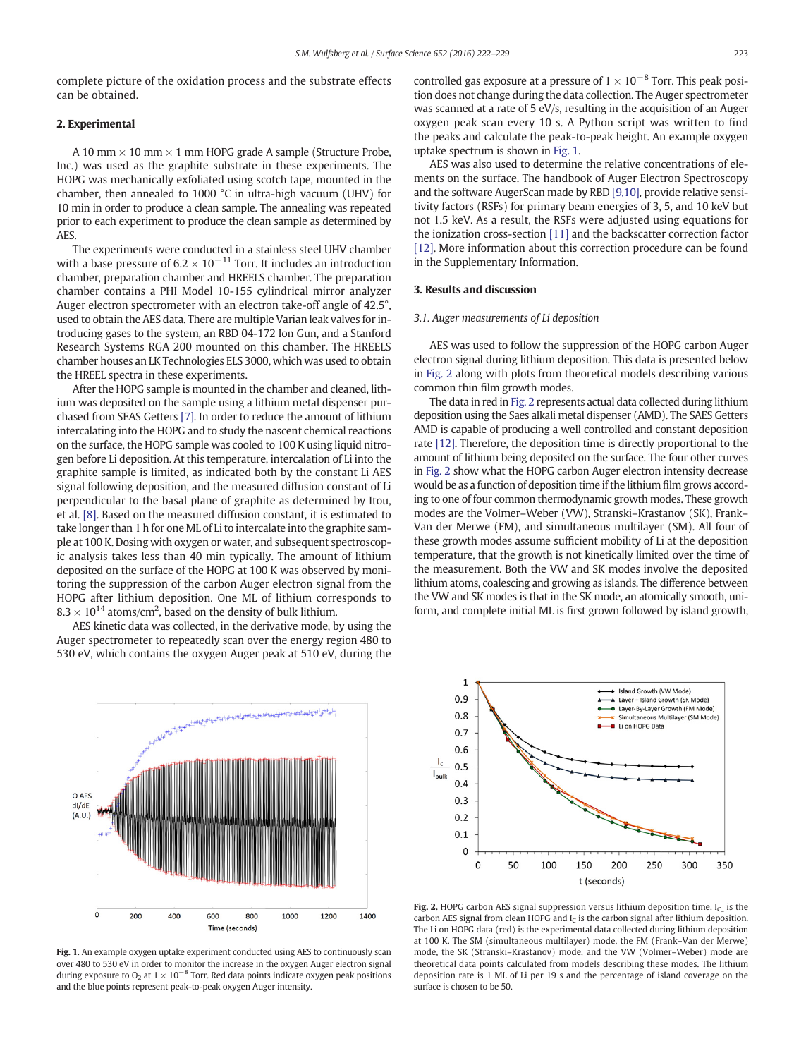<span id="page-1-0"></span>complete picture of the oxidation process and the substrate effects can be obtained.

# 2. Experimental

A 10 mm  $\times$  10 mm  $\times$  1 mm HOPG grade A sample (Structure Probe, Inc.) was used as the graphite substrate in these experiments. The HOPG was mechanically exfoliated using scotch tape, mounted in the chamber, then annealed to 1000 °C in ultra-high vacuum (UHV) for 10 min in order to produce a clean sample. The annealing was repeated prior to each experiment to produce the clean sample as determined by AES.

The experiments were conducted in a stainless steel UHV chamber with a base pressure of  $6.2 \times 10^{-11}$  Torr. It includes an introduction chamber, preparation chamber and HREELS chamber. The preparation chamber contains a PHI Model 10-155 cylindrical mirror analyzer Auger electron spectrometer with an electron take-off angle of 42.5°, used to obtain the AES data. There are multiple Varian leak valves for introducing gases to the system, an RBD 04-172 Ion Gun, and a Stanford Research Systems RGA 200 mounted on this chamber. The HREELS chamber houses an LK Technologies ELS 3000, which was used to obtain the HREEL spectra in these experiments.

After the HOPG sample is mounted in the chamber and cleaned, lithium was deposited on the sample using a lithium metal dispenser purchased from SEAS Getters [\[7\]](#page-6-0). In order to reduce the amount of lithium intercalating into the HOPG and to study the nascent chemical reactions on the surface, the HOPG sample was cooled to 100 K using liquid nitrogen before Li deposition. At this temperature, intercalation of Li into the graphite sample is limited, as indicated both by the constant Li AES signal following deposition, and the measured diffusion constant of Li perpendicular to the basal plane of graphite as determined by Itou, et al. [\[8\]](#page-6-0). Based on the measured diffusion constant, it is estimated to take longer than 1 h for one ML of Li to intercalate into the graphite sample at 100 K. Dosing with oxygen or water, and subsequent spectroscopic analysis takes less than 40 min typically. The amount of lithium deposited on the surface of the HOPG at 100 K was observed by monitoring the suppression of the carbon Auger electron signal from the HOPG after lithium deposition. One ML of lithium corresponds to  $8.3 \times 10^{14}$  atoms/cm<sup>2</sup>, based on the density of bulk lithium.

AES kinetic data was collected, in the derivative mode, by using the Auger spectrometer to repeatedly scan over the energy region 480 to 530 eV, which contains the oxygen Auger peak at 510 eV, during the controlled gas exposure at a pressure of  $1 \times 10^{-8}$  Torr. This peak position does not change during the data collection. The Auger spectrometer was scanned at a rate of 5 eV/s, resulting in the acquisition of an Auger oxygen peak scan every 10 s. A Python script was written to find the peaks and calculate the peak-to-peak height. An example oxygen uptake spectrum is shown in Fig. 1.

AES was also used to determine the relative concentrations of elements on the surface. The handbook of Auger Electron Spectroscopy and the software AugerScan made by RBD [\[9,10\],](#page-6-0) provide relative sensitivity factors (RSFs) for primary beam energies of 3, 5, and 10 keV but not 1.5 keV. As a result, the RSFs were adjusted using equations for the ionization cross-section [\[11\]](#page-7-0) and the backscatter correction factor [\[12\]](#page-7-0). More information about this correction procedure can be found in the Supplementary Information.

# 3. Results and discussion

# 3.1. Auger measurements of Li deposition

AES was used to follow the suppression of the HOPG carbon Auger electron signal during lithium deposition. This data is presented below in Fig. 2 along with plots from theoretical models describing various common thin film growth modes.

The data in red in Fig. 2 represents actual data collected during lithium deposition using the Saes alkali metal dispenser (AMD). The SAES Getters AMD is capable of producing a well controlled and constant deposition rate [\[12\]](#page-7-0). Therefore, the deposition time is directly proportional to the amount of lithium being deposited on the surface. The four other curves in Fig. 2 show what the HOPG carbon Auger electron intensity decrease would be as a function of deposition time if the lithium film grows according to one of four common thermodynamic growth modes. These growth modes are the Volmer–Weber (VW), Stranski–Krastanov (SK), Frank– Van der Merwe (FM), and simultaneous multilayer (SM). All four of these growth modes assume sufficient mobility of Li at the deposition temperature, that the growth is not kinetically limited over the time of the measurement. Both the VW and SK modes involve the deposited lithium atoms, coalescing and growing as islands. The difference between the VW and SK modes is that in the SK mode, an atomically smooth, uniform, and complete initial ML is first grown followed by island growth,



Fig. 1. An example oxygen uptake experiment conducted using AES to continuously scan over 480 to 530 eV in order to monitor the increase in the oxygen Auger electron signal during exposure to O<sub>2</sub> at  $1 \times 10^{-8}$  Torr. Red data points indicate oxygen peak positions and the blue points represent peak-to-peak oxygen Auger intensity.



Fig. 2. HOPG carbon AES signal suppression versus lithium deposition time. I<sub>C</sub> is the carbon AES signal from clean HOPG and  $I<sub>C</sub>$  is the carbon signal after lithium deposition. The Li on HOPG data (red) is the experimental data collected during lithium deposition at 100 K. The SM (simultaneous multilayer) mode, the FM (Frank–Van der Merwe) mode, the SK (Stranski–Krastanov) mode, and the VW (Volmer–Weber) mode are theoretical data points calculated from models describing these modes. The lithium deposition rate is 1 ML of Li per 19 s and the percentage of island coverage on the surface is chosen to be 50.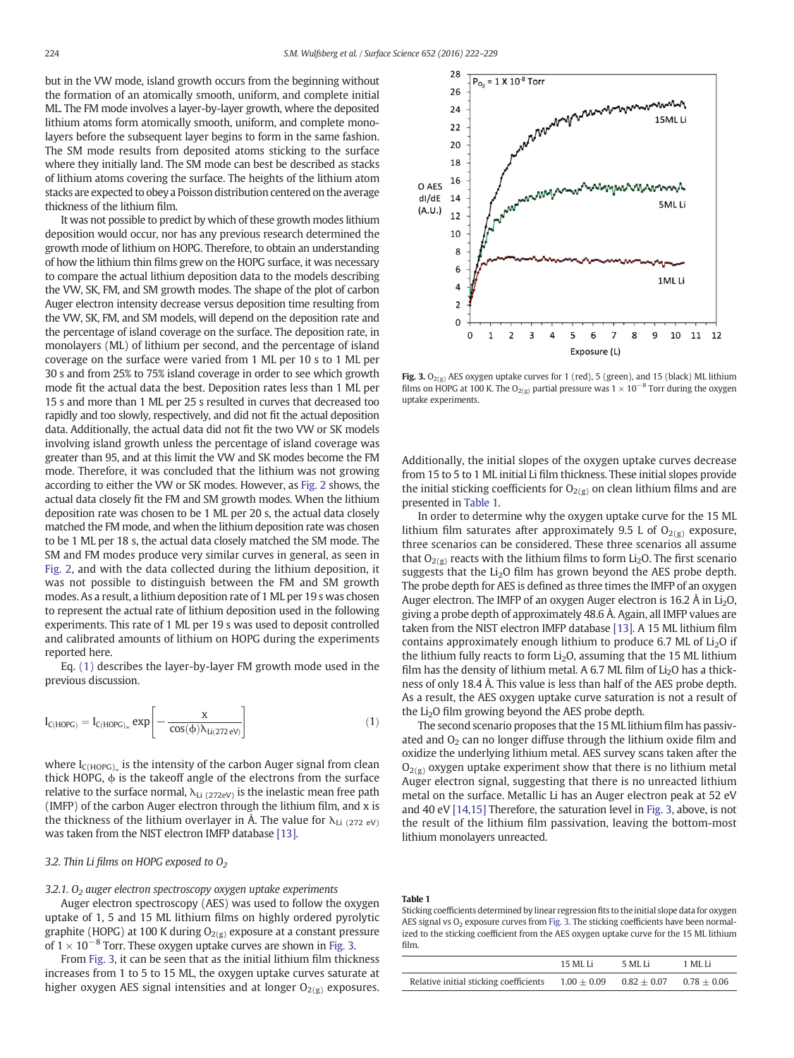<span id="page-2-0"></span>but in the VW mode, island growth occurs from the beginning without the formation of an atomically smooth, uniform, and complete initial ML. The FM mode involves a layer-by-layer growth, where the deposited lithium atoms form atomically smooth, uniform, and complete monolayers before the subsequent layer begins to form in the same fashion. The SM mode results from deposited atoms sticking to the surface where they initially land. The SM mode can best be described as stacks of lithium atoms covering the surface. The heights of the lithium atom stacks are expected to obey a Poisson distribution centered on the average thickness of the lithium film.

It was not possible to predict by which of these growth modes lithium deposition would occur, nor has any previous research determined the growth mode of lithium on HOPG. Therefore, to obtain an understanding of how the lithium thin films grew on the HOPG surface, it was necessary to compare the actual lithium deposition data to the models describing the VW, SK, FM, and SM growth modes. The shape of the plot of carbon Auger electron intensity decrease versus deposition time resulting from the VW, SK, FM, and SM models, will depend on the deposition rate and the percentage of island coverage on the surface. The deposition rate, in monolayers (ML) of lithium per second, and the percentage of island coverage on the surface were varied from 1 ML per 10 s to 1 ML per 30 s and from 25% to 75% island coverage in order to see which growth mode fit the actual data the best. Deposition rates less than 1 ML per 15 s and more than 1 ML per 25 s resulted in curves that decreased too rapidly and too slowly, respectively, and did not fit the actual deposition data. Additionally, the actual data did not fit the two VW or SK models involving island growth unless the percentage of island coverage was greater than 95, and at this limit the VW and SK modes become the FM mode. Therefore, it was concluded that the lithium was not growing according to either the VW or SK modes. However, as [Fig. 2](#page-1-0) shows, the actual data closely fit the FM and SM growth modes. When the lithium deposition rate was chosen to be 1 ML per 20 s, the actual data closely matched the FM mode, and when the lithium deposition rate was chosen to be 1 ML per 18 s, the actual data closely matched the SM mode. The SM and FM modes produce very similar curves in general, as seen in [Fig. 2,](#page-1-0) and with the data collected during the lithium deposition, it was not possible to distinguish between the FM and SM growth modes. As a result, a lithium deposition rate of 1 ML per 19 s was chosen to represent the actual rate of lithium deposition used in the following experiments. This rate of 1 ML per 19 s was used to deposit controlled and calibrated amounts of lithium on HOPG during the experiments reported here.

Eq. (1) describes the layer-by-layer FM growth mode used in the previous discussion.

$$
I_{C(HOPG)} = I_{C(HOPG)_{\infty}} exp \left[ -\frac{x}{cos(\phi) \lambda_{Li(272 \text{ eV})}} \right]
$$
(1)

where  $I_{C(HOPG)_{\infty}}$  is the intensity of the carbon Auger signal from clean thick HOPG,  $\phi$  is the takeoff angle of the electrons from the surface relative to the surface normal,  $\lambda_{Li(272eV)}$  is the inelastic mean free path (IMFP) of the carbon Auger electron through the lithium film, and x is the thickness of the lithium overlayer in Å. The value for  $\lambda_{Li(272 \text{ eV})}$ was taken from the NIST electron IMFP database [\[13\]](#page-7-0).

# 3.2. Thin Li films on HOPG exposed to  $O<sub>2</sub>$

# 3.2.1.  $O_2$  auger electron spectroscopy oxygen uptake experiments

Auger electron spectroscopy (AES) was used to follow the oxygen uptake of 1, 5 and 15 ML lithium films on highly ordered pyrolytic graphite (HOPG) at 100 K during  $O_{2(g)}$  exposure at a constant pressure of  $1 \times 10^{-8}$  Torr. These oxygen uptake curves are shown in Fig. 3.

From Fig. 3, it can be seen that as the initial lithium film thickness increases from 1 to 5 to 15 ML, the oxygen uptake curves saturate at higher oxygen AES signal intensities and at longer  $O_{2(g)}$  exposures.



Fig. 3.  $O_{2(g)}$  AES oxygen uptake curves for 1 (red), 5 (green), and 15 (black) ML lithium films on HOPG at 100 K. The O<sub>2(g)</sub> partial pressure was  $1 \times 10^{-8}$  Torr during the oxygen uptake experiments.

Additionally, the initial slopes of the oxygen uptake curves decrease from 15 to 5 to 1 ML initial Li film thickness. These initial slopes provide the initial sticking coefficients for  $O_{2(g)}$  on clean lithium films and are presented in Table 1.

In order to determine why the oxygen uptake curve for the 15 ML lithium film saturates after approximately 9.5 L of  $O_{2(g)}$  exposure, three scenarios can be considered. These three scenarios all assume that  $O_{2(g)}$  reacts with the lithium films to form Li<sub>2</sub>O. The first scenario suggests that the  $Li<sub>2</sub>O$  film has grown beyond the AES probe depth. The probe depth for AES is defined as three times the IMFP of an oxygen Auger electron. The IMFP of an oxygen Auger electron is 16.2 Å in  $Li<sub>2</sub>O$ , giving a probe depth of approximately 48.6 Å. Again, all IMFP values are taken from the NIST electron IMFP database [\[13\].](#page-7-0) A 15 ML lithium film contains approximately enough lithium to produce 6.7 ML of  $Li<sub>2</sub>O$  if the lithium fully reacts to form  $Li<sub>2</sub>O$ , assuming that the 15 ML lithium film has the density of lithium metal. A 6.7 ML film of  $Li<sub>2</sub>O$  has a thickness of only 18.4 Å. This value is less than half of the AES probe depth. As a result, the AES oxygen uptake curve saturation is not a result of the Li<sub>2</sub>O film growing beyond the AES probe depth.

The second scenario proposes that the 15 ML lithium film has passivated and  $O<sub>2</sub>$  can no longer diffuse through the lithium oxide film and oxidize the underlying lithium metal. AES survey scans taken after the  $O_{2(g)}$  oxygen uptake experiment show that there is no lithium metal Auger electron signal, suggesting that there is no unreacted lithium metal on the surface. Metallic Li has an Auger electron peak at 52 eV and 40 eV [\[14,15\]](#page-7-0) Therefore, the saturation level in Fig. 3, above, is not the result of the lithium film passivation, leaving the bottom-most lithium monolayers unreacted.

# Table 1

Sticking coefficients determined by linear regression fits to the initial slope data for oxygen AES signal vs  $O<sub>2</sub>$  exposure curves from Fig. 3. The sticking coefficients have been normalized to the sticking coefficient from the AES oxygen uptake curve for the 15 ML lithium film.

|                                        | 15 ML Li      | 5 ML Li       | 1 ML Li       |
|----------------------------------------|---------------|---------------|---------------|
| Relative initial sticking coefficients | $1.00 + 0.09$ | $0.82 + 0.07$ | $0.78 + 0.06$ |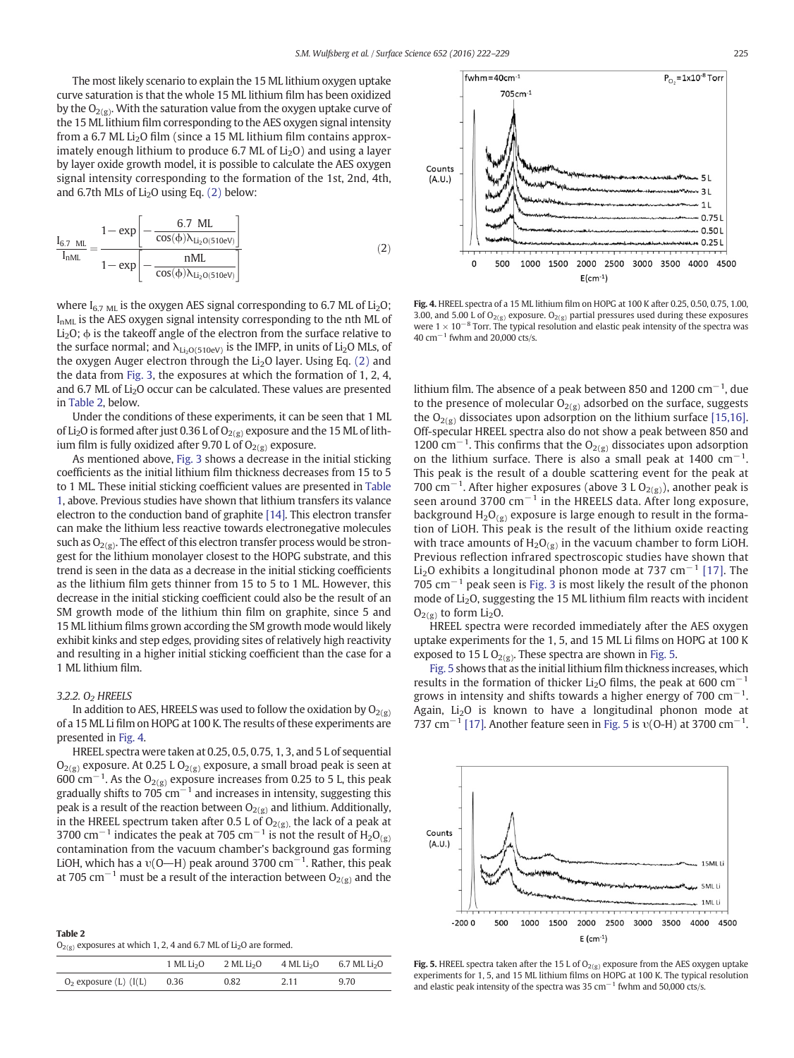The most likely scenario to explain the 15 ML lithium oxygen uptake curve saturation is that the whole 15 ML lithium film has been oxidized by the  $O_{2(g)}$ . With the saturation value from the oxygen uptake curve of the 15 ML lithium film corresponding to the AES oxygen signal intensity from a 6.7 ML Li<sub>2</sub>O film (since a 15 ML lithium film contains approximately enough lithium to produce 6.7 ML of  $Li<sub>2</sub>O$ ) and using a layer by layer oxide growth model, it is possible to calculate the AES oxygen signal intensity corresponding to the formation of the 1st, 2nd, 4th, and 6.7th MLs of  $Li<sub>2</sub>O$  using Eq. (2) below:

$$
\frac{I_{6.7 \text{ ML}}}{I_{nML}} = \frac{1 - \exp\left[-\frac{6.7 \text{ ML}}{\cos(\phi)\lambda_{Li_2O(510eV)}}\right]}{1 - \exp\left[-\frac{nML}{\cos(\phi)\lambda_{Li_2O(510eV)}}\right]}
$$
(2)

where  $I_{6.7 \text{ ML}}$  is the oxygen AES signal corresponding to 6.7 ML of  $Li_2O$ ; I<sub>nML</sub> is the AES oxygen signal intensity corresponding to the nth ML of Li<sub>2</sub>O;  $\phi$  is the takeoff angle of the electron from the surface relative to the surface normal; and  $\lambda_{Li, O(510eV)}$  is the IMFP, in units of Li<sub>2</sub>O MLs, of the oxygen Auger electron through the  $Li<sub>2</sub>O$  layer. Using Eq. (2) and the data from [Fig. 3,](#page-2-0) the exposures at which the formation of 1, 2, 4, and 6.7 ML of Li<sub>2</sub>O occur can be calculated. These values are presented in Table 2, below.

Under the conditions of these experiments, it can be seen that 1 ML of Li<sub>2</sub>O is formed after just 0.36 L of O<sub>2(g)</sub> exposure and the 15 ML of lithium film is fully oxidized after 9.70 L of  $O_{2(g)}$  exposure.

As mentioned above, [Fig. 3](#page-2-0) shows a decrease in the initial sticking coefficients as the initial lithium film thickness decreases from 15 to 5 to 1 ML. These initial sticking coefficient values are presented in [Table](#page-2-0) [1,](#page-2-0) above. Previous studies have shown that lithium transfers its valance electron to the conduction band of graphite [\[14\].](#page-7-0) This electron transfer can make the lithium less reactive towards electronegative molecules such as  $O_{2(g)}$ . The effect of this electron transfer process would be strongest for the lithium monolayer closest to the HOPG substrate, and this trend is seen in the data as a decrease in the initial sticking coefficients as the lithium film gets thinner from 15 to 5 to 1 ML. However, this decrease in the initial sticking coefficient could also be the result of an SM growth mode of the lithium thin film on graphite, since 5 and 15 ML lithium films grown according the SM growth mode would likely exhibit kinks and step edges, providing sites of relatively high reactivity and resulting in a higher initial sticking coefficient than the case for a 1 ML lithium film.

# 3.2.2. O<sub>2</sub> HREELS

Table 2

In addition to AES, HREELS was used to follow the oxidation by  $O_{2(g)}$ of a 15 ML Li film on HOPG at 100 K. The results of these experiments are presented in Fig. 4.

HREEL spectra were taken at 0.25, 0.5, 0.75, 1, 3, and 5 L of sequential  $O_{2(g)}$  exposure. At 0.25 L  $O_{2(g)}$  exposure, a small broad peak is seen at 600 cm<sup>-1</sup>. As the O<sub>2(g)</sub> exposure increases from 0.25 to 5 L, this peak gradually shifts to 705  $cm^{-1}$  and increases in intensity, suggesting this peak is a result of the reaction between  $O_{2(g)}$  and lithium. Additionally, in the HREEL spectrum taken after 0.5 L of  $O_{2(g)}$ , the lack of a peak at 3700 cm<sup>-1</sup> indicates the peak at 705 cm<sup>-1</sup> is not the result of H<sub>2</sub>O<sub>(g)</sub> contamination from the vacuum chamber's background gas forming LiOH, which has a  $\upsilon$ (O—H) peak around 3700 cm $^{-1}$ . Rather, this peak at 705 cm<sup>-1</sup> must be a result of the interaction between  $O_{2(g)}$  and the

| -------                                                                           |  |  |
|-----------------------------------------------------------------------------------|--|--|
| $O_{2(g)}$ exposures at which 1, 2, 4 and 6.7 ML of Li <sub>2</sub> O are formed. |  |  |

|                             | $1$ ML Li <sub>2</sub> O | $2$ ML Li <sub>2</sub> O | 4 ML Li <sub>2</sub> O | 6.7 ML Li <sub>2</sub> O |
|-----------------------------|--------------------------|--------------------------|------------------------|--------------------------|
| $O_2$ exposure (L) ( $I(L)$ | 0.36                     | 0.82                     | 2.11                   | 9.70                     |



Fig. 4. HREEL spectra of a 15 ML lithium film on HOPG at 100 K after 0.25, 0.50, 0.75, 1.00, 3.00, and 5.00 L of  $O_{2(g)}$  exposure.  $O_{2(g)}$  partial pressures used during these exposures were  $1 \times 10^{-8}$  Torr. The typical resolution and elastic peak intensity of the spectra was 40 cm−<sup>1</sup> fwhm and 20,000 cts/s.

lithium film. The absence of a peak between 850 and 1200  $cm^{-1}$ , due to the presence of molecular  $O_{2(g)}$  adsorbed on the surface, suggests the  $O_{2(g)}$  dissociates upon adsorption on the lithium surface [\[15,16\].](#page-7-0) Off-specular HREEL spectra also do not show a peak between 850 and 1200 cm<sup>-1</sup>. This confirms that the O<sub>2(g)</sub> dissociates upon adsorption on the lithium surface. There is also a small peak at 1400  $cm^{-1}$ . This peak is the result of a double scattering event for the peak at 700 cm<sup>−1</sup>. After higher exposures (above 3 L O<sub>2(g)</sub>), another peak is seen around 3700 cm<sup>-1</sup> in the HREELS data. After long exposure, background  $H_2O_{(g)}$  exposure is large enough to result in the formation of LiOH. This peak is the result of the lithium oxide reacting with trace amounts of  $H_2O_{(g)}$  in the vacuum chamber to form LiOH. Previous reflection infrared spectroscopic studies have shown that Li<sub>2</sub>O exhibits a longitudinal phonon mode at 737 cm<sup>-1</sup> [\[17\]](#page-7-0). The 705 cm<sup> $-1$ </sup> peak seen is [Fig. 3](#page-2-0) is most likely the result of the phonon mode of Li2O, suggesting the 15 ML lithium film reacts with incident  $O_{2(g)}$  to form Li<sub>2</sub>O.

HREEL spectra were recorded immediately after the AES oxygen uptake experiments for the 1, 5, and 15 ML Li films on HOPG at 100 K exposed to 15 L  $O_{2(g)}$ . These spectra are shown in Fig. 5.

Fig. 5 shows that as the initial lithium film thickness increases, which results in the formation of thicker Li<sub>2</sub>O films, the peak at 600 cm<sup>-1</sup> grows in intensity and shifts towards a higher energy of 700  $\text{cm}^{-1}$ . Again,  $Li<sub>2</sub>O$  is known to have a longitudinal phonon mode at 737 cm<sup>-1</sup> [\[17\]](#page-7-0). Another feature seen in Fig. 5 is  $v(O-H)$  at 3700 cm<sup>-1</sup>.



Fig. 5. HREEL spectra taken after the 15 L of  $O_{2(g)}$  exposure from the AES oxygen uptake experiments for 1, 5, and 15 ML lithium films on HOPG at 100 K. The typical resolution and elastic peak intensity of the spectra was 35  $cm^{-1}$  fwhm and 50,000 cts/s.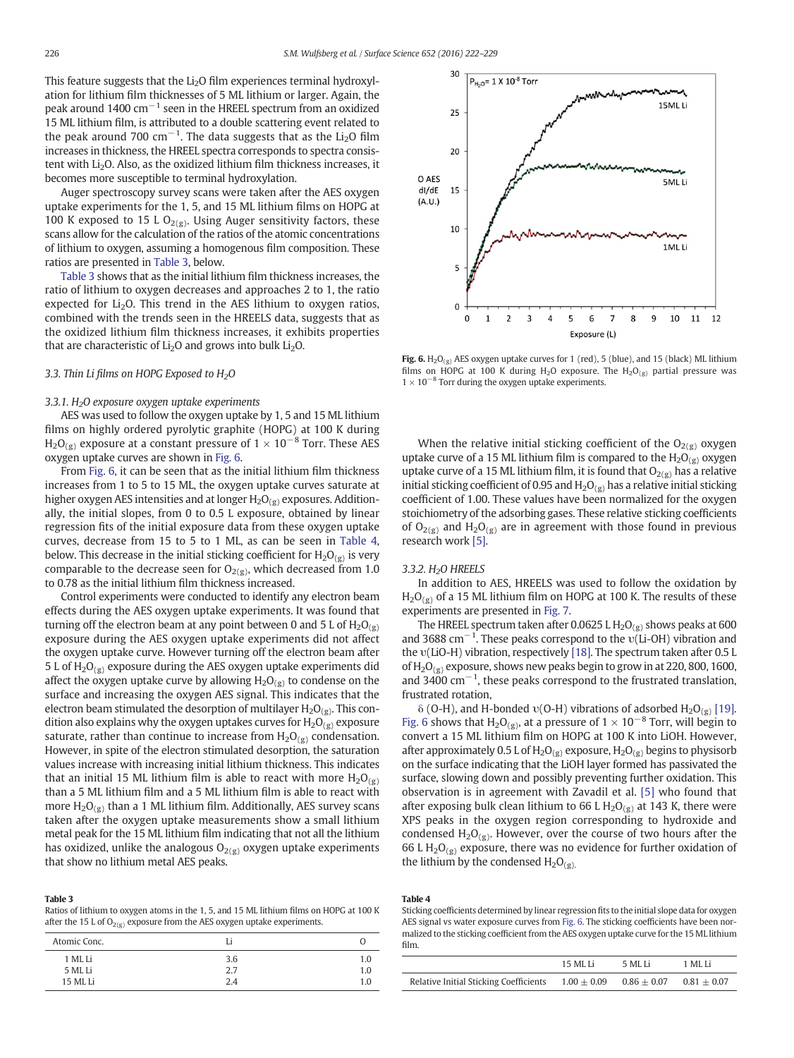This feature suggests that the  $Li<sub>2</sub>O$  film experiences terminal hydroxylation for lithium film thicknesses of 5 ML lithium or larger. Again, the peak around 1400  $cm^{-1}$  seen in the HREEL spectrum from an oxidized 15 ML lithium film, is attributed to a double scattering event related to the peak around 700  $\text{cm}^{-1}$ . The data suggests that as the Li<sub>2</sub>O film increases in thickness, the HREEL spectra corresponds to spectra consistent with Li<sub>2</sub>O. Also, as the oxidized lithium film thickness increases, it becomes more susceptible to terminal hydroxylation.

Auger spectroscopy survey scans were taken after the AES oxygen uptake experiments for the 1, 5, and 15 ML lithium films on HOPG at 100 K exposed to 15 L  $O_{2(g)}$ . Using Auger sensitivity factors, these scans allow for the calculation of the ratios of the atomic concentrations of lithium to oxygen, assuming a homogenous film composition. These ratios are presented in Table 3, below.

Table 3 shows that as the initial lithium film thickness increases, the ratio of lithium to oxygen decreases and approaches 2 to 1, the ratio expected for  $Li<sub>2</sub>O$ . This trend in the AES lithium to oxygen ratios, combined with the trends seen in the HREELS data, suggests that as the oxidized lithium film thickness increases, it exhibits properties that are characteristic of  $Li<sub>2</sub>O$  and grows into bulk  $Li<sub>2</sub>O$ .

# 3.3. Thin Li films on HOPG Exposed to  $H_2O$

# 3.3.1.  $H_2O$  exposure oxygen uptake experiments

AES was used to follow the oxygen uptake by 1, 5 and 15 ML lithium films on highly ordered pyrolytic graphite (HOPG) at 100 K during  $H_2O_{(g)}$  exposure at a constant pressure of  $1 \times 10^{-8}$  Torr. These AES oxygen uptake curves are shown in Fig. 6.

From Fig. 6, it can be seen that as the initial lithium film thickness increases from 1 to 5 to 15 ML, the oxygen uptake curves saturate at higher oxygen AES intensities and at longer  $H_2O_{(g)}$  exposures. Additionally, the initial slopes, from 0 to 0.5 L exposure, obtained by linear regression fits of the initial exposure data from these oxygen uptake curves, decrease from 15 to 5 to 1 ML, as can be seen in Table 4, below. This decrease in the initial sticking coefficient for  $H_2O_{(g)}$  is very comparable to the decrease seen for  $O_{2(g)}$ , which decreased from 1.0 to 0.78 as the initial lithium film thickness increased.

Control experiments were conducted to identify any electron beam effects during the AES oxygen uptake experiments. It was found that turning off the electron beam at any point between 0 and 5 L of  $H_2O_{(g)}$ exposure during the AES oxygen uptake experiments did not affect the oxygen uptake curve. However turning off the electron beam after 5 L of  $H_2O_{(g)}$  exposure during the AES oxygen uptake experiments did affect the oxygen uptake curve by allowing  $H_2O_{(g)}$  to condense on the surface and increasing the oxygen AES signal. This indicates that the electron beam stimulated the desorption of multilayer  $H_2O_{(g)}$ . This condition also explains why the oxygen uptakes curves for  $H_2O_{(g)}$  exposure saturate, rather than continue to increase from  $H_2O_{(g)}$  condensation. However, in spite of the electron stimulated desorption, the saturation values increase with increasing initial lithium thickness. This indicates that an initial 15 ML lithium film is able to react with more  $H_2O_{(g)}$ than a 5 ML lithium film and a 5 ML lithium film is able to react with more  $H_2O_{(g)}$  than a 1 ML lithium film. Additionally, AES survey scans taken after the oxygen uptake measurements show a small lithium metal peak for the 15 ML lithium film indicating that not all the lithium has oxidized, unlike the analogous  $O_{2(g)}$  oxygen uptake experiments that show no lithium metal AES peaks.

## Table 3

Ratios of lithium to oxygen atoms in the 1, 5, and 15 ML lithium films on HOPG at 100 K after the 15 L of  $O_{2(g)}$  exposure from the AES oxygen uptake experiments.

| Atomic Conc.       |            |            |
|--------------------|------------|------------|
| 1 ML Li<br>5 ML Li | 3.6<br>2.7 | 1.0<br>1.0 |
| 15 ML Li           | 2.4        | 1.0        |



Fig. 6.  $H_2O_{(g)}$  AES oxygen uptake curves for 1 (red), 5 (blue), and 15 (black) ML lithium films on HOPG at 100 K during H<sub>2</sub>O exposure. The H<sub>2</sub>O<sub>(g)</sub> partial pressure was  $1\times10^{-8}$  Torr during the oxygen uptake experiments.

When the relative initial sticking coefficient of the  $O_{2(g)}$  oxygen uptake curve of a 15 ML lithium film is compared to the  $H_2O_{(g)}$  oxygen uptake curve of a 15 ML lithium film, it is found that  $O_{2(g)}$  has a relative initial sticking coefficient of 0.95 and  $H_2O_{(g)}$  has a relative initial sticking coefficient of 1.00. These values have been normalized for the oxygen stoichiometry of the adsorbing gases. These relative sticking coefficients of  $O_{2(g)}$  and  $H_2O_{(g)}$  are in agreement with those found in previous research work [\[5\]](#page-6-0).

## 3.3.2. H2O HREELS

In addition to AES, HREELS was used to follow the oxidation by  $H_2O_{(g)}$  of a 15 ML lithium film on HOPG at 100 K. The results of these experiments are presented in [Fig. 7.](#page-5-0)

The HREEL spectrum taken after 0.0625 L  $H_2O_{(g)}$  shows peaks at 600 and 3688 cm<sup>-1</sup>. These peaks correspond to the v(Li-OH) vibration and the υ(LiO-H) vibration, respectively [\[18\]](#page-7-0). The spectrum taken after 0.5 L of  $H_2O_{(g)}$  exposure, shows new peaks begin to grow in at 220, 800, 1600, and 3400 cm−<sup>1</sup> , these peaks correspond to the frustrated translation, frustrated rotation,

δ (O-H), and H-bonded υ(O-H) vibrations of adsorbed  $H_2O_{(g)}$  [\[19\].](#page-7-0) Fig. 6 shows that  $H_2O_{(g)}$ , at a pressure of  $1 \times 10^{-8}$  Torr, will begin to convert a 15 ML lithium film on HOPG at 100 K into LiOH. However, after approximately 0.5 L of  $H_2O_{(g)}$  exposure,  $H_2O_{(g)}$  begins to physisorb on the surface indicating that the LiOH layer formed has passivated the surface, slowing down and possibly preventing further oxidation. This observation is in agreement with Zavadil et al. [\[5\]](#page-6-0) who found that after exposing bulk clean lithium to 66 L  $H_2O_{(g)}$  at 143 K, there were XPS peaks in the oxygen region corresponding to hydroxide and condensed  $H_2O_{(g)}$ . However, over the course of two hours after the 66 L  $H_2O_{(g)}$  exposure, there was no evidence for further oxidation of the lithium by the condensed  $H_2O_{(g)}$ .

## Table 4

Sticking coefficients determined by linear regression fits to the initial slope data for oxygen AES signal vs water exposure curves from Fig. 6. The sticking coefficients have been normalized to the sticking coefficient from the AES oxygen uptake curve for the 15 ML lithium film.

|                                        | 15 ML Li      | -5 ML Li      | 1 ML Li       |
|----------------------------------------|---------------|---------------|---------------|
| Relative Initial Sticking Coefficients | $1.00 + 0.09$ | $0.86 + 0.07$ | $0.81 + 0.07$ |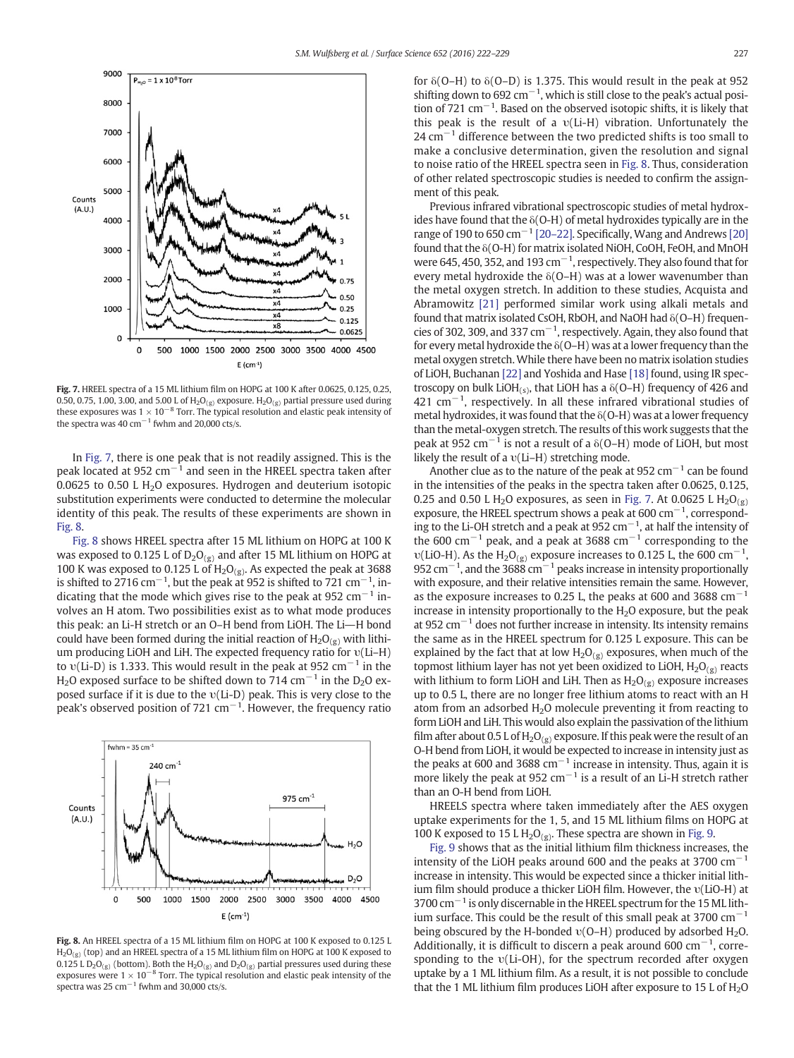<span id="page-5-0"></span>

Fig. 7. HREEL spectra of a 15 ML lithium film on HOPG at 100 K after 0.0625, 0.125, 0.25, 0.50, 0.75, 1.00, 3.00, and 5.00 L of  $H_2O_{(g)}$  exposure.  $H_2O_{(g)}$  partial pressure used during these exposures was  $1 \times 10^{-8}$  Torr. The typical resolution and elastic peak intensity of the spectra was 40  $\text{cm}^{-1}$  fwhm and 20,000 cts/s.

In Fig. 7, there is one peak that is not readily assigned. This is the peak located at 952 cm−<sup>1</sup> and seen in the HREEL spectra taken after 0.0625 to 0.50 L  $H<sub>2</sub>O$  exposures. Hydrogen and deuterium isotopic substitution experiments were conducted to determine the molecular identity of this peak. The results of these experiments are shown in Fig. 8.

Fig. 8 shows HREEL spectra after 15 ML lithium on HOPG at 100 K was exposed to 0.125 L of  $D_2O_{(g)}$  and after 15 ML lithium on HOPG at 100 K was exposed to 0.125 L of  $H_2O_{(g)}$ . As expected the peak at 3688 is shifted to 2716 cm<sup>-1</sup>, but the peak at 952 is shifted to 721 cm<sup>-1</sup>, indicating that the mode which gives rise to the peak at 952 cm<sup> $-1$ </sup> involves an H atom. Two possibilities exist as to what mode produces this peak: an Li-H stretch or an O–H bend from LiOH. The Li\\H bond could have been formed during the initial reaction of  $H_2O_{(g)}$  with lithium producing LiOH and LiH. The expected frequency ratio for υ(Li–H) to  $v(Li-D)$  is 1.333. This would result in the peak at 952 cm<sup>-1</sup> in the H<sub>2</sub>O exposed surface to be shifted down to 714 cm<sup>-1</sup> in the D<sub>2</sub>O exposed surface if it is due to the υ(Li-D) peak. This is very close to the peak's observed position of 721 cm<sup>-1</sup>. However, the frequency ratio



Fig. 8. An HREEL spectra of a 15 ML lithium film on HOPG at 100 K exposed to 0.125 L  $H_2O_{(g)}$  (top) and an HREEL spectra of a 15 ML lithium film on HOPG at 100 K exposed to 0.125 L  $D_2O_{(g)}$  (bottom). Both the  $H_2O_{(g)}$  and  $D_2O_{(g)}$  partial pressures used during these exposures were  $1 \times 10^{-8}$  Torr. The typical resolution and elastic peak intensity of the spectra was 25  $\text{cm}^{-1}$  fwhm and 30,000 cts/s.

for  $\delta$ (O–H) to  $\delta$ (O–D) is 1.375. This would result in the peak at 952 shifting down to 692  $cm^{-1}$ , which is still close to the peak's actual position of 721  $cm^{-1}$ . Based on the observed isotopic shifts, it is likely that this peak is the result of a υ(Li-H) vibration. Unfortunately the  $24 \text{ cm}^{-1}$  difference between the two predicted shifts is too small to make a conclusive determination, given the resolution and signal to noise ratio of the HREEL spectra seen in Fig. 8. Thus, consideration of other related spectroscopic studies is needed to confirm the assignment of this peak.

Previous infrared vibrational spectroscopic studies of metal hydroxides have found that the  $\delta$ (O-H) of metal hydroxides typically are in the range of 190 to 650 cm<sup> $-1$ </sup> [20–[22\].](#page-7-0) Specifically, Wang and Andrews [\[20\]](#page-7-0) found that the δ(O-H) for matrix isolated NiOH, CoOH, FeOH, and MnOH were 645, 450, 352, and 193  $\rm cm^{-1}$ , respectively. They also found that for every metal hydroxide the δ(O–H) was at a lower wavenumber than the metal oxygen stretch. In addition to these studies, Acquista and Abramowitz [\[21\]](#page-7-0) performed similar work using alkali metals and found that matrix isolated CsOH, RbOH, and NaOH had δ(O–H) frequencies of 302, 309, and 337  $cm^{-1}$ , respectively. Again, they also found that for every metal hydroxide the  $\delta$ (O–H) was at a lower frequency than the metal oxygen stretch. While there have been no matrix isolation studies of LiOH, Buchanan [\[22\]](#page-7-0) and Yoshida and Hase [\[18\]](#page-7-0) found, using IR spectroscopy on bulk LiOH<sub>(s)</sub>, that LiOH has a  $\delta$ (O–H) frequency of 426 and  $421 \text{ cm}^{-1}$ , respectively. In all these infrared vibrational studies of metal hydroxides, it was found that the  $\delta$ (O-H) was at a lower frequency than the metal-oxygen stretch. The results of this work suggests that the peak at 952 cm<sup>-1</sup> is not a result of a  $\delta$ (O–H) mode of LiOH, but most likely the result of a  $v(Li-H)$  stretching mode.

Another clue as to the nature of the peak at  $952 \text{ cm}^{-1}$  can be found in the intensities of the peaks in the spectra taken after 0.0625, 0.125, 0.25 and 0.50 L H<sub>2</sub>O exposures, as seen in Fig. 7. At 0.0625 L H<sub>2</sub>O<sub>(g)</sub> exposure, the HREEL spectrum shows a peak at 600  $\text{cm}^{-1}$ , corresponding to the Li-OH stretch and a peak at 952  $cm^{-1}$ , at half the intensity of the 600 cm<sup>−1</sup> peak, and a peak at 3688 cm<sup>−1</sup> corresponding to the υ(LiO-H). As the H<sub>2</sub>O<sub>(g)</sub> exposure increases to 0.125 L, the 600 cm<sup>-1</sup>, 952 cm<sup>−1</sup>, and the 3688 cm<sup>−1</sup> peaks increase in intensity proportionally with exposure, and their relative intensities remain the same. However, as the exposure increases to 0.25 L, the peaks at 600 and 3688  $cm^{-1}$ increase in intensity proportionally to the  $H<sub>2</sub>O$  exposure, but the peak at 952 cm<sup> $-1$ </sup> does not further increase in intensity. Its intensity remains the same as in the HREEL spectrum for 0.125 L exposure. This can be explained by the fact that at low  $H_2O_{(g)}$  exposures, when much of the topmost lithium layer has not yet been oxidized to LiOH,  $H_2O_{(g)}$  reacts with lithium to form LiOH and LiH. Then as  $H_2O_{(g)}$  exposure increases up to 0.5 L, there are no longer free lithium atoms to react with an H atom from an adsorbed  $H<sub>2</sub>O$  molecule preventing it from reacting to form LiOH and LiH. This would also explain the passivation of the lithium film after about 0.5 L of  $H_2O_{(g)}$  exposure. If this peak were the result of an O-H bend from LiOH, it would be expected to increase in intensity just as the peaks at 600 and 3688  $cm^{-1}$  increase in intensity. Thus, again it is more likely the peak at 952  $cm^{-1}$  is a result of an Li-H stretch rather than an O-H bend from LiOH.

HREELS spectra where taken immediately after the AES oxygen uptake experiments for the 1, 5, and 15 ML lithium films on HOPG at 100 K exposed to 15 L  $H_2O_{(g)}$ . These spectra are shown in [Fig. 9](#page-6-0).

[Fig. 9](#page-6-0) shows that as the initial lithium film thickness increases, the intensity of the LiOH peaks around 600 and the peaks at 3700  $cm^{-1}$ increase in intensity. This would be expected since a thicker initial lithium film should produce a thicker LiOH film. However, the υ(LiO-H) at 3700 cm<sup>-1</sup> is only discernable in the HREEL spectrum for the 15 ML lithium surface. This could be the result of this small peak at 3700  $cm^{-1}$ being obscured by the H-bonded  $v(O-H)$  produced by adsorbed  $H<sub>2</sub>O$ . Additionally, it is difficult to discern a peak around 600  $cm^{-1}$ , corresponding to the υ(Li-OH), for the spectrum recorded after oxygen uptake by a 1 ML lithium film. As a result, it is not possible to conclude that the 1 ML lithium film produces LiOH after exposure to 15 L of  $H<sub>2</sub>O$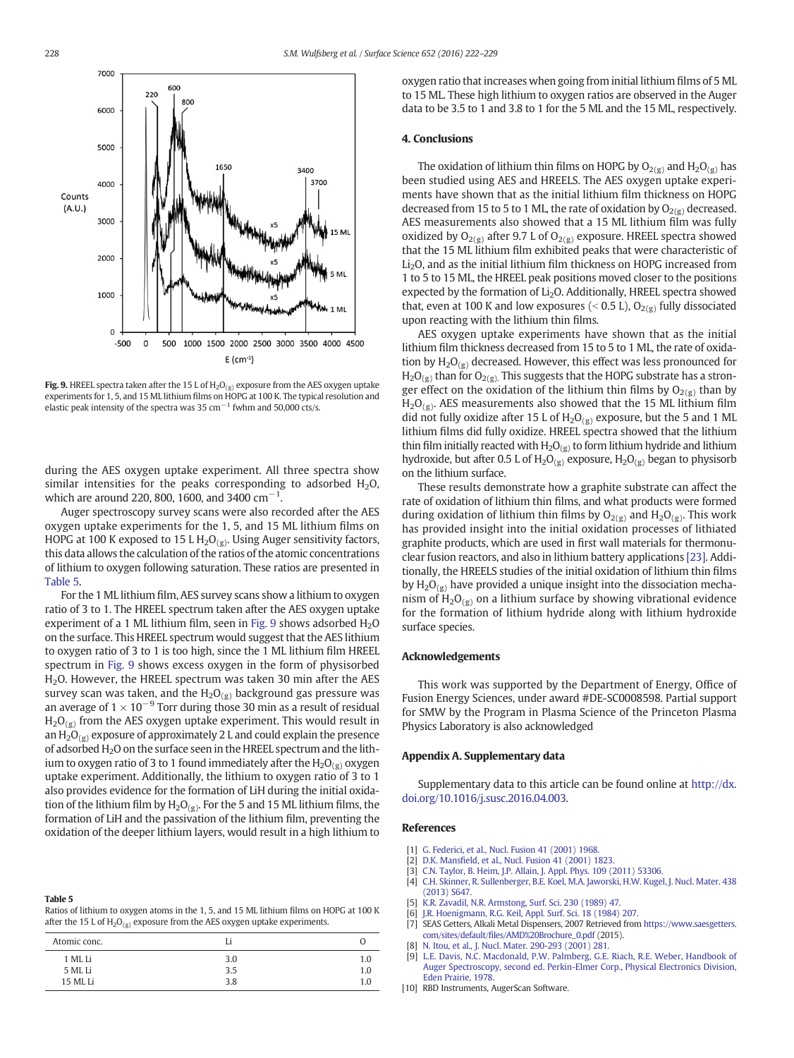<span id="page-6-0"></span>

Fig. 9. HREEL spectra taken after the 15 L of  $H_2O_{(g)}$  exposure from the AES oxygen uptake experiments for 1, 5, and 15 ML lithium films on HOPG at 100 K. The typical resolution and elastic peak intensity of the spectra was 35 cm<sup>-1</sup> fwhm and 50,000 cts/s.

during the AES oxygen uptake experiment. All three spectra show similar intensities for the peaks corresponding to adsorbed  $H_2O$ , which are around 220, 800, 1600, and 3400  $\rm cm^{-1}$ .

Auger spectroscopy survey scans were also recorded after the AES oxygen uptake experiments for the 1, 5, and 15 ML lithium films on HOPG at 100 K exposed to 15 L  $H_2O_{(g)}$ . Using Auger sensitivity factors, this data allows the calculation of the ratios of the atomic concentrations of lithium to oxygen following saturation. These ratios are presented in Table 5.

For the 1 ML lithium film, AES survey scans show a lithium to oxygen ratio of 3 to 1. The HREEL spectrum taken after the AES oxygen uptake experiment of a 1 ML lithium film, seen in Fig. 9 shows adsorbed  $H_2O$ on the surface. This HREEL spectrum would suggest that the AES lithium to oxygen ratio of 3 to 1 is too high, since the 1 ML lithium film HREEL spectrum in Fig. 9 shows excess oxygen in the form of physisorbed H2O. However, the HREEL spectrum was taken 30 min after the AES survey scan was taken, and the  $H_2O_{(g)}$  background gas pressure was an average of  $1 \times 10^{-9}$  Torr during those 30 min as a result of residual  $H_2O_{(g)}$  from the AES oxygen uptake experiment. This would result in an  $H_2O_{(g)}$  exposure of approximately 2 L and could explain the presence of adsorbed H<sub>2</sub>O on the surface seen in the HREEL spectrum and the lithium to oxygen ratio of 3 to 1 found immediately after the  $H_2O_{(g)}$  oxygen uptake experiment. Additionally, the lithium to oxygen ratio of 3 to 1 also provides evidence for the formation of LiH during the initial oxidation of the lithium film by  $H_2O_{(g)}$ . For the 5 and 15 ML lithium films, the formation of LiH and the passivation of the lithium film, preventing the oxidation of the deeper lithium layers, would result in a high lithium to

#### Table 5

Ratios of lithium to oxygen atoms in the 1, 5, and 15 ML lithium films on HOPG at 100 K after the 15 L of  $H_2O_{(g)}$  exposure from the AES oxygen uptake experiments.

| Atomic conc. | IJ  |     |
|--------------|-----|-----|
| 1 ML Li      | 3.0 | 1.0 |
| 5 ML Li      | 3.5 | 1.0 |
| 15 ML Li     | 3.8 | 1.0 |

oxygen ratio that increases when going from initial lithium films of 5 ML to 15 ML. These high lithium to oxygen ratios are observed in the Auger data to be 3.5 to 1 and 3.8 to 1 for the 5 ML and the 15 ML, respectively.

#### 4. Conclusions

The oxidation of lithium thin films on HOPG by  $O_{2(g)}$  and  $H_2O_{(g)}$  has been studied using AES and HREELS. The AES oxygen uptake experiments have shown that as the initial lithium film thickness on HOPG decreased from 15 to 5 to 1 ML, the rate of oxidation by  $O_{2(g)}$  decreased. AES measurements also showed that a 15 ML lithium film was fully oxidized by  $O_{2(g)}$  after 9.7 L of  $O_{2(g)}$  exposure. HREEL spectra showed that the 15 ML lithium film exhibited peaks that were characteristic of Li2O, and as the initial lithium film thickness on HOPG increased from 1 to 5 to 15 ML, the HREEL peak positions moved closer to the positions expected by the formation of Li<sub>2</sub>O. Additionally, HREEL spectra showed that, even at 100 K and low exposures (< 0.5 L),  $O_{2(g)}$  fully dissociated upon reacting with the lithium thin films.

AES oxygen uptake experiments have shown that as the initial lithium film thickness decreased from 15 to 5 to 1 ML, the rate of oxidation by  $H_2O_{(g)}$  decreased. However, this effect was less pronounced for  $H_2O_{(g)}$  than for  $O_{2(g)}$ . This suggests that the HOPG substrate has a stronger effect on the oxidation of the lithium thin films by  $O_{2(g)}$  than by  $H_2O_{(g)}$ . AES measurements also showed that the 15 ML lithium film did not fully oxidize after 15 L of  $H_2O_{(g)}$  exposure, but the 5 and 1 ML lithium films did fully oxidize. HREEL spectra showed that the lithium thin film initially reacted with  $H_2O_{(g)}$  to form lithium hydride and lithium hydroxide, but after 0.5 L of  $H_2O_{(g)}$  exposure,  $H_2O_{(g)}$  began to physisorb on the lithium surface.

These results demonstrate how a graphite substrate can affect the rate of oxidation of lithium thin films, and what products were formed during oxidation of lithium thin films by  $O_{2(g)}$  and  $H_2O_{(g)}$ . This work has provided insight into the initial oxidation processes of lithiated graphite products, which are used in first wall materials for thermonuclear fusion reactors, and also in lithium battery applications [\[23\]](#page-7-0). Additionally, the HREELS studies of the initial oxidation of lithium thin films by  $H_2O_{(g)}$  have provided a unique insight into the dissociation mechanism of  $H_2O_{(g)}$  on a lithium surface by showing vibrational evidence for the formation of lithium hydride along with lithium hydroxide surface species.

# Acknowledgements

This work was supported by the Department of Energy, Office of Fusion Energy Sciences, under award #DE-SC0008598. Partial support for SMW by the Program in Plasma Science of the Princeton Plasma Physics Laboratory is also acknowledged

# Appendix A. Supplementary data

Supplementary data to this article can be found online at [http://dx.](doi:10.1016/j.susc.2016.04.003) [doi.org/10.1016/j.susc.2016.04.003.](doi:10.1016/j.susc.2016.04.003)

## References

- [1] [G. Federici, et al., Nucl. Fusion 41 \(2001\) 1968](http://refhub.elsevier.com/S0039-6028(16)30254-0/rf0005).
- [2] D.K. Mansfi[eld, et al., Nucl. Fusion 41 \(2001\) 1823.](http://refhub.elsevier.com/S0039-6028(16)30254-0/rf0010)<br>[3] C.N. Taylor, B. Heim, J.P. Allain, J. Appl. Phys. 109 (1)
- [3] [C.N. Taylor, B. Heim, J.P. Allain, J. Appl. Phys. 109 \(2011\) 53306](http://refhub.elsevier.com/S0039-6028(16)30254-0/rf0015).
- [4] [C.H. Skinner, R. Sullenberger, B.E. Koel, M.A. Jaworski, H.W. Kugel, J. Nucl. Mater. 438](http://refhub.elsevier.com/S0039-6028(16)30254-0/rf0020) [\(2013\) S647.](http://refhub.elsevier.com/S0039-6028(16)30254-0/rf0020)
- [5] [K.R. Zavadil, N.R. Armstong, Surf. Sci. 230 \(1989\) 47](http://refhub.elsevier.com/S0039-6028(16)30254-0/rf0025).
- [6] [J.R. Hoenigmann, R.G. Keil, Appl. Surf. Sci. 18 \(1984\) 207.](http://refhub.elsevier.com/S0039-6028(16)30254-0/rf0030)
- SEAS Getters, Alkali Metal Dispensers, 2007 Retrieved from [https://www.saesgetters.](https://www.saesgetters.com/sites/default/files/AMD%20Brochure_0.pdf) com/sites/default/fi[les/AMD%20Brochure\\_0.pdf](https://www.saesgetters.com/sites/default/files/AMD%20Brochure_0.pdf) (2015).
- [N. Itou, et al., J. Nucl. Mater. 290-293 \(2001\) 281.](http://refhub.elsevier.com/S0039-6028(16)30254-0/rf0040)
- [L.E. Davis, N.C. Macdonald, P.W. Palmberg, G.E. Riach, R.E. Weber, Handbook of](http://refhub.elsevier.com/S0039-6028(16)30254-0/rf0045) [Auger Spectroscopy, second ed. Perkin-Elmer Corp., Physical Electronics Division,](http://refhub.elsevier.com/S0039-6028(16)30254-0/rf0045) [Eden Prairie, 1978.](http://refhub.elsevier.com/S0039-6028(16)30254-0/rf0045)
- [10] RBD Instruments, AugerScan Software.